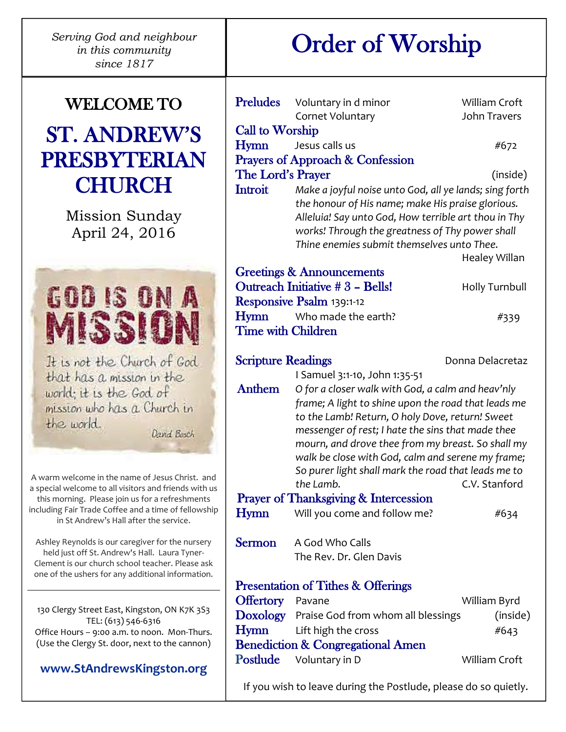*Serving God and neighbour in this community since 1817*

# Order of Worship

| <b>WELCOME TO</b>                                                                                                                                      | <b>Preludes</b>           | Voluntary in d minor<br>Cornet Voluntary                                                                                                                                                                                                                                                                                   | William Croft<br>John Travers |
|--------------------------------------------------------------------------------------------------------------------------------------------------------|---------------------------|----------------------------------------------------------------------------------------------------------------------------------------------------------------------------------------------------------------------------------------------------------------------------------------------------------------------------|-------------------------------|
| <b>ST. ANDREW'S</b>                                                                                                                                    | <b>Call to Worship</b>    |                                                                                                                                                                                                                                                                                                                            |                               |
|                                                                                                                                                        | Hymn                      | Jesus calls us                                                                                                                                                                                                                                                                                                             | #672                          |
| <b>PRESBYTERIAN</b>                                                                                                                                    |                           | <b>Prayers of Approach &amp; Confession</b>                                                                                                                                                                                                                                                                                |                               |
|                                                                                                                                                        | The Lord's Prayer         |                                                                                                                                                                                                                                                                                                                            | (inside)                      |
| <b>CHURCH</b>                                                                                                                                          | Introit                   | Make a joyful noise unto God, all ye lands; sing forth                                                                                                                                                                                                                                                                     |                               |
| Mission Sunday<br>April 24, 2016                                                                                                                       |                           | the honour of His name; make His praise glorious.<br>Alleluia! Say unto God, How terrible art thou in Thy<br>works! Through the greatness of Thy power shall<br>Thine enemies submit themselves unto Thee.                                                                                                                 | Healey Willan                 |
|                                                                                                                                                        |                           | <b>Greetings &amp; Announcements</b>                                                                                                                                                                                                                                                                                       |                               |
| <b>A</b><br>$\mathbb{R}^3$                                                                                                                             |                           | Outreach Initiative # 3 - Bells!                                                                                                                                                                                                                                                                                           | <b>Holly Turnbull</b>         |
|                                                                                                                                                        |                           | Responsive Psalm 139:1-12                                                                                                                                                                                                                                                                                                  |                               |
|                                                                                                                                                        | Hymn                      | Who made the earth?                                                                                                                                                                                                                                                                                                        | #339                          |
|                                                                                                                                                        | <b>Time with Children</b> |                                                                                                                                                                                                                                                                                                                            |                               |
| It is not the Church of God                                                                                                                            | <b>Scripture Readings</b> |                                                                                                                                                                                                                                                                                                                            | Donna Delacretaz              |
| that has a mission in the                                                                                                                              |                           | I Samuel 3:1-10, John 1:35-51                                                                                                                                                                                                                                                                                              |                               |
| world; it is the God of<br>mission who has a Church in<br>the world.<br>David Bosch                                                                    | <b>Anthem</b>             | O for a closer walk with God, a calm and heav'nly<br>frame; A light to shine upon the road that leads me<br>to the Lamb! Return, O holy Dove, return! Sweet<br>messenger of rest; I hate the sins that made thee<br>mourn, and drove thee from my breast. So shall my<br>walk be close with God, calm and serene my frame; |                               |
| A warm welcome in the name of Jesus Christ. and                                                                                                        |                           | So purer light shall mark the road that leads me to                                                                                                                                                                                                                                                                        |                               |
| a special welcome to all visitors and friends with us                                                                                                  |                           | the Lamb.<br><b>Prayer of Thanksgiving &amp; Intercession</b>                                                                                                                                                                                                                                                              | C.V. Stanford                 |
| this morning. Please join us for a refreshments<br>including Fair Trade Coffee and a time of fellowship                                                | <b>Hymn</b>               | Will you come and follow me?                                                                                                                                                                                                                                                                                               | #634                          |
| in St Andrew's Hall after the service.                                                                                                                 |                           |                                                                                                                                                                                                                                                                                                                            |                               |
| Ashley Reynolds is our caregiver for the nursery                                                                                                       | <b>Sermon</b>             | A God Who Calls                                                                                                                                                                                                                                                                                                            |                               |
| held just off St. Andrew's Hall. Laura Tyner-<br>Clement is our church school teacher. Please ask<br>one of the ushers for any additional information. |                           | The Rev. Dr. Glen Davis                                                                                                                                                                                                                                                                                                    |                               |
|                                                                                                                                                        |                           | <b>Presentation of Tithes &amp; Offerings</b>                                                                                                                                                                                                                                                                              |                               |
| 130 Clergy Street East, Kingston, ON K7K 3S3                                                                                                           | <b>Offertory</b>          | Pavane                                                                                                                                                                                                                                                                                                                     | William Byrd                  |
| TEL: (613) 546-6316                                                                                                                                    | <b>Doxology</b>           | Praise God from whom all blessings                                                                                                                                                                                                                                                                                         | (inside)                      |
| Office Hours - 9:00 a.m. to noon. Mon-Thurs.<br>(Use the Clergy St. door, next to the cannon)                                                          | Hymn                      | Lift high the cross                                                                                                                                                                                                                                                                                                        | #643                          |
|                                                                                                                                                        | Postlude                  | <b>Benediction &amp; Congregational Amen</b><br>Voluntary in D                                                                                                                                                                                                                                                             | William Croft                 |
| www.StAndrewsKingston.org                                                                                                                              |                           |                                                                                                                                                                                                                                                                                                                            |                               |
|                                                                                                                                                        |                           | If you wish to leave during the Postlude, please do so quietly.                                                                                                                                                                                                                                                            |                               |

 $\overline{a}$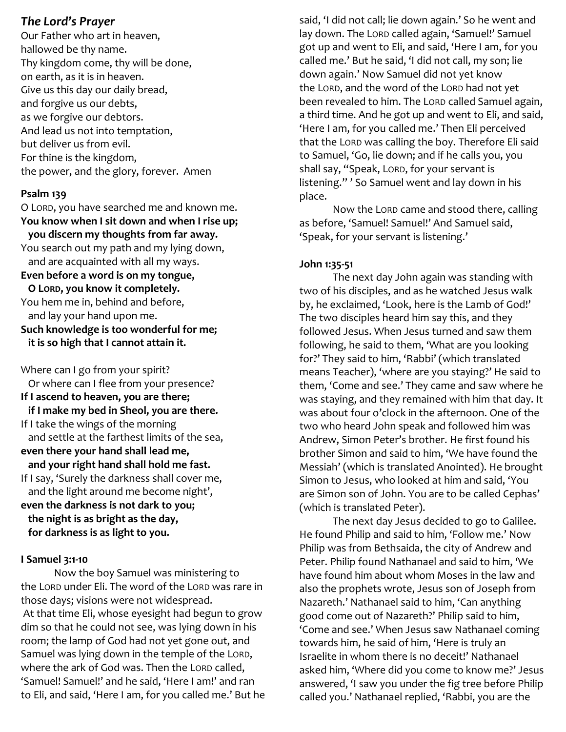#### *The Lord's Prayer*

Our Father who art in heaven, hallowed be thy name. Thy kingdom come, thy will be done, on earth, as it is in heaven. Give us this day our daily bread, and forgive us our debts, as we forgive our debtors. And lead us not into temptation, but deliver us from evil. For thine is the kingdom, the power, and the glory, forever. Amen

#### **Psalm 139**

O LORD, you have searched me and known me. **You know when I sit down and when I rise up; you discern my thoughts from far away.** You search out my path and my lying down, and are acquainted with all my ways. **Even before a word is on my tongue, O LORD, you know it completely.** You hem me in, behind and before, and lay your hand upon me. **Such knowledge is too wonderful for me; it is so high that I cannot attain it.**

Where can I go from your spirit? Or where can I flee from your presence? **If I ascend to heaven, you are there; if I make my bed in Sheol, you are there.** If I take the wings of the morning and settle at the farthest limits of the sea, **even there your hand shall lead me, and your right hand shall hold me fast.** If I say, 'Surely the darkness shall cover me, and the light around me become night', **even the darkness is not dark to you; the night is as bright as the day, for darkness is as light to you.**

#### **I Samuel 3:1-10**

Now the boy Samuel was ministering to the LORD under Eli. The word of the LORD was rare in those days; visions were not widespread. At that time Eli, whose eyesight had begun to grow dim so that he could not see, was lying down in his room; the lamp of God had not yet gone out, and Samuel was lying down in the temple of the LORD, where the ark of God was. Then the LORD called, 'Samuel! Samuel!' and he said, 'Here I am!' and ran to Eli, and said, 'Here I am, for you called me.' But he said, 'I did not call; lie down again.' So he went and lay down. The LORD called again, 'Samuel!' Samuel got up and went to Eli, and said, 'Here I am, for you called me.' But he said, 'I did not call, my son; lie down again.' Now Samuel did not yet know the LORD, and the word of the LORD had not yet been revealed to him. The LORD called Samuel again, a third time. And he got up and went to Eli, and said, 'Here I am, for you called me.' Then Eli perceived that the LORD was calling the boy. Therefore Eli said to Samuel, 'Go, lie down; and if he calls you, you shall say, "Speak, LORD, for your servant is listening." ' So Samuel went and lay down in his place.

Now the LORD came and stood there, calling as before, 'Samuel! Samuel!' And Samuel said, 'Speak, for your servant is listening.'

#### **John 1:35-51**

The next day John again was standing with two of his disciples, and as he watched Jesus walk by, he exclaimed, 'Look, here is the Lamb of God!' The two disciples heard him say this, and they followed Jesus. When Jesus turned and saw them following, he said to them, 'What are you looking for?' They said to him, 'Rabbi' (which translated means Teacher), 'where are you staying?' He said to them, 'Come and see.' They came and saw where he was staying, and they remained with him that day. It was about four o'clock in the afternoon. One of the two who heard John speak and followed him was Andrew, Simon Peter's brother. He first found his brother Simon and said to him, 'We have found the Messiah' (which is translated Anointed). He brought Simon to Jesus, who looked at him and said, 'You are Simon son of John. You are to be called Cephas' (which is translated Peter).

The next day Jesus decided to go to Galilee. He found Philip and said to him, 'Follow me.' Now Philip was from Bethsaida, the city of Andrew and Peter. Philip found Nathanael and said to him, 'We have found him about whom Moses in the law and also the prophets wrote, Jesus son of Joseph from Nazareth.' Nathanael said to him, 'Can anything good come out of Nazareth?' Philip said to him, 'Come and see.' When Jesus saw Nathanael coming towards him, he said of him, 'Here is truly an Israelite in whom there is no deceit!' Nathanael asked him, 'Where did you come to know me?' Jesus answered, 'I saw you under the fig tree before Philip called you.' Nathanael replied, 'Rabbi, you are the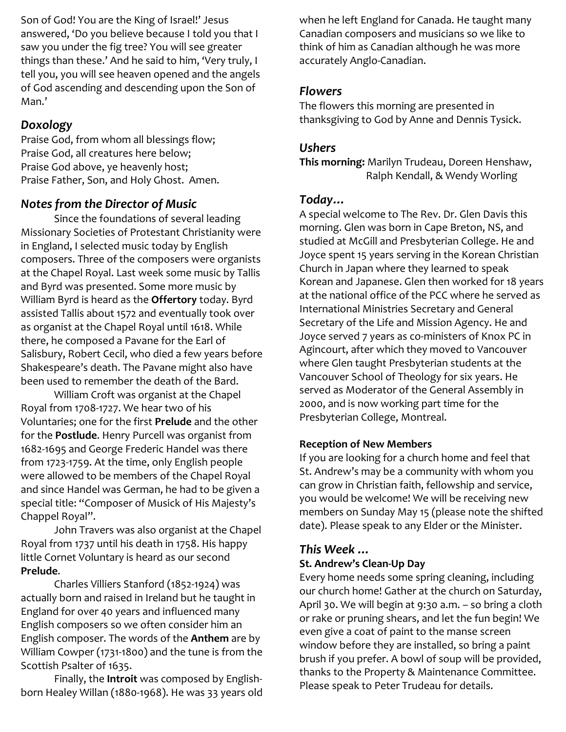Son of God! You are the King of Israel!' Jesus answered, 'Do you believe because I told you that I saw you under the fig tree? You will see greater things than these.' And he said to him, 'Very truly, I tell you, you will see heaven opened and the angels of God ascending and descending upon the Son of Man.'

# *Doxology*

Praise God, from whom all blessings flow; Praise God, all creatures here below; Praise God above, ye heavenly host; Praise Father, Son, and Holy Ghost. Amen.

## *Notes from the Director of Music*

Since the foundations of several leading Missionary Societies of Protestant Christianity were in England, I selected music today by English composers. Three of the composers were organists at the Chapel Royal. Last week some music by Tallis and Byrd was presented. Some more music by William Byrd is heard as the **Offertory** today. Byrd assisted Tallis about 1572 and eventually took over as organist at the Chapel Royal until 1618. While there, he composed a Pavane for the Earl of Salisbury, Robert Cecil, who died a few years before Shakespeare's death. The Pavane might also have been used to remember the death of the Bard.

William Croft was organist at the Chapel Royal from 1708-1727. We hear two of his Voluntaries; one for the first **Prelude** and the other for the **Postlude**. Henry Purcell was organist from 1682-1695 and George Frederic Handel was there from 1723-1759. At the time, only English people were allowed to be members of the Chapel Royal and since Handel was German, he had to be given a special title: "Composer of Musick of His Majesty's Chappel Royal".

John Travers was also organist at the Chapel Royal from 1737 until his death in 1758. His happy little Cornet Voluntary is heard as our second **Prelude**.

Charles Villiers Stanford (1852-1924) was actually born and raised in Ireland but he taught in England for over 40 years and influenced many English composers so we often consider him an English composer. The words of the **Anthem** are by William Cowper (1731-1800) and the tune is from the Scottish Psalter of 1635.

Finally, the **Introit** was composed by Englishborn Healey Willan (1880-1968). He was 33 years old when he left England for Canada. He taught many Canadian composers and musicians so we like to think of him as Canadian although he was more accurately Anglo-Canadian.

## *Flowers*

The flowers this morning are presented in thanksgiving to God by Anne and Dennis Tysick.

## *Ushers*

**This morning:** Marilyn Trudeau, Doreen Henshaw, Ralph Kendall, & Wendy Worling

## *Today…*

A special welcome to The Rev. Dr. Glen Davis this morning. Glen was born in Cape Breton, NS, and studied at McGill and Presbyterian College. He and Joyce spent 15 years serving in the Korean Christian Church in Japan where they learned to speak Korean and Japanese. Glen then worked for 18 years at the national office of the PCC where he served as International Ministries Secretary and General Secretary of the Life and Mission Agency. He and Joyce served 7 years as co-ministers of Knox PC in Agincourt, after which they moved to Vancouver where Glen taught Presbyterian students at the Vancouver School of Theology for six years. He served as Moderator of the General Assembly in 2000, and is now working part time for the Presbyterian College, Montreal.

## **Reception of New Members**

If you are looking for a church home and feel that St. Andrew's may be a community with whom you can grow in Christian faith, fellowship and service, you would be welcome! We will be receiving new members on Sunday May 15 (please note the shifted date). Please speak to any Elder or the Minister.

# *This Week …*

## **St. Andrew's Clean-Up Day**

Every home needs some spring cleaning, including our church home! Gather at the church on Saturday, April 30. We will begin at 9:30 a.m. – so bring a cloth or rake or pruning shears, and let the fun begin! We even give a coat of paint to the manse screen window before they are installed, so bring a paint brush if you prefer. A bowl of soup will be provided, thanks to the Property & Maintenance Committee. Please speak to Peter Trudeau for details.